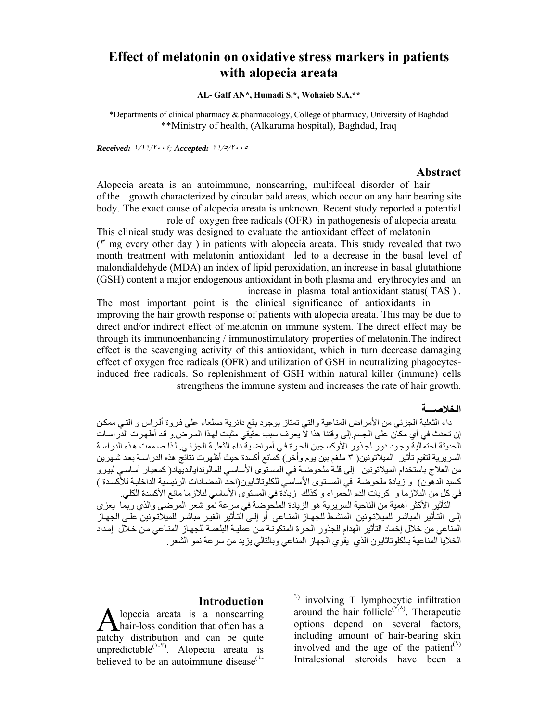# **Effect of melatonin on oxidative stress markers in patients with alopecia areata**

### **AL- Gaff AN\*, Humadi S.\*, Wohaieb S.A,\*\***

\*Departments of clinical pharmacy & pharmacology, College of pharmacy, University of Baghdad \*\*Ministry of health, (Alkarama hospital), Baghdad, Iraq

*Received:* <sup>١</sup>/١١/<sup>٢٠٠٤</sup>*; Accepted:* <sup>١١</sup>/٥/<sup>٢٠٠٥</sup>

#### **Abstract**

Alopecia areata is an autoimmune, nonscarring, multifocal disorder of hair of the growth characterized by circular bald areas, which occur on any hair bearing site body. The exact cause of alopecia areata is unknown. Recent study reported a potential role of oxygen free radicals (OFR) in pathogenesis of alopecia areata.

This clinical study was designed to evaluate the antioxidant effect of melatonin (٣ mg every other day ) in patients with alopecia areata. This study revealed that two month treatment with melatonin antioxidant led to a decrease in the basal level of malondialdehyde (MDA) an index of lipid peroxidation, an increase in basal glutathione (GSH) content a major endogenous antioxidant in both plasma and erythrocytes and an increase in plasma total antioxidant status( TAS ) .

The most important point is the clinical significance of antioxidants in improving the hair growth response of patients with alopecia areata. This may be due to direct and/or indirect effect of melatonin on immune system. The direct effect may be through its immunoenhancing / immunostimulatory properties of melatonin.The indirect effect is the scavenging activity of this antioxidant, which in turn decrease damaging effect of oxygen free radicals (OFR) and utilization of GSH in neutralizing phagocytesinduced free radicals. So replenishment of GSH within natural killer (immune) cells strengthens the immune system and increases the rate of hair growth.

#### **الخلاصـــة**

داء الثعلبة الجزئي من الأمراض المناعية والتي تمتاز بوجود بقع دائرية صلعاء على فروة ألراس و التي ممكن إن تحدث في أي مكان على الجسم.إلى وقتنا هذا لا يعرف سبب حقيقي مثبت لهذا المرض.و قد أظهرت الدراسات الحديثة احتمالية وجود دور لجذور الأوكسجين الحرة في أمراضية داء الثعلبة الجزئبي. لذا صممت هذه الدراسة السريرية لتقيم تأثير ِ الميلاتونين( ٣ ملغم بين يوم وأخر) كمانع أكسدة حيث أظهرت نتائج هذه الدراسة بعد شـهرين من العلاج باستخدام الميلاتونين إلى قلـة ملحوضـة فـي المسنوى الأساسـي للمالوندايالديهاد( كمعيار أساسـي لبيرو كسيد الدهون) و زيادة ملحوضة في المستوى الأساسي للكلوتاثـايون(احد المضـادات الرئيسية الداخليـة للأكسدة ) في كل من البلازما و كريات الدم الحمراء و كذلك زيادة في المستوى الأساسي لبلازما مانع الأكسدة الكلي.

التأثير الأكثر أهمية من الناحية السريرية هو الزيادة الملحوضة في سرعة نمو شعر المرضى والذي ربما يعزى إلـى التـأثير المباشر للميلاتـونين المنشط للجهـاز المنـاعي أو إلـى التـأثير الغيـر مباشـر للميلاتـونين علـى الجهـاز المناعي من خلال إخماد التأثير الهدام للجذور الحرة المتكونة من عملية البلعمة للجهاز المنـاعي من خلال إمداد الخلايا المناعية بالكلوتاثايون الذي يقوي الجهاز المناعي وبالتالي يزيد من سرعة نمو الشعر.

#### **Introduction**

lopecia areata is a nonscarring hair-loss condition that often has a patchy distribution and can be quite unpredictable<sup> $(1-r)$ </sup>. Alopecia areata is believed to be an autoimmune disease $(2\pi)$ 

<sup>1)</sup> involving T lymphocytic infiltration around the hair follicle $(\lambda^{\prime\prime}, \lambda)$ . Therapeutic options depend on several factors, including amount of hair-bearing skin involved and the age of the patient<sup> $(1)$ </sup> Intralesional steroids have been a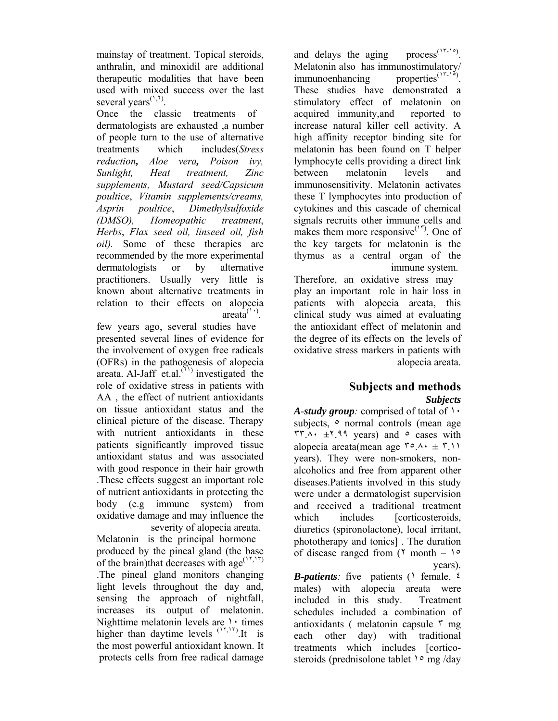and delays the aging process<sup> $(17-10)$ </sup> Melatonin also has immunostimulatory/  $immunoenhancing$  properties<sup> $(15-1°)$ </sup>. These studies have demonstrated a stimulatory effect of melatonin on acquired immunity,and reported to increase natural killer cell activity. A high affinity receptor binding site for melatonin has been found on T helper lymphocyte cells providing a direct link between melatonin levels and immunosensitivity. Melatonin activates these T lymphocytes into production of cytokines and this cascade of chemical signals recruits other immune cells and makes them more responsive $(1^{17})$ . One of the key targets for melatonin is the thymus as a central organ of the immune system.

Therefore, an oxidative stress may play an important role in hair loss in patients with alopecia areata, this clinical study was aimed at evaluating the antioxidant effect of melatonin and the degree of its effects on the levels of oxidative stress markers in patients with alopecia areata.

## **Subjects and methods**  *Subjects*

*A*-*study group:* comprised of total of ١٠ subjects,  $\circ$  normal controls (mean age  $\forall x \in \mathbb{R}$ .  $\forall x \in \mathbb{R}$  years) and  $\circ$  cases with alopecia areata(mean age  $\mathbf{r} \circ \mathbf{A} \cdot \mathbf{A} \cdot \mathbf{B} \cdot \mathbf{A}$ years). They were non-smokers, nonalcoholics and free from apparent other diseases.Patients involved in this study were under a dermatologist supervision and received a traditional treatment which includes [corticosteroids, diuretics (spironolactone), local irritant, phototherapy and tonics] . The duration of disease ranged from  $(5 \text{ month} - 1)$ years).

*B***-***patients:* five patients (١ female, ٤ males) with alopecia areata were included in this study. Treatment schedules included a combination of antioxidants ( melatonin capsule  $\bar{r}$  mg each other day) with traditional treatments which includes [corticosteroids (prednisolone tablet  $\log \log$  /day

mainstay of treatment. Topical steroids, anthralin, and minoxidil are additional therapeutic modalities that have been used with mixed success over the last several years<sup> $(1, 1)$ </sup>.

Once the classic treatments of dermatologists are exhausted ,a number of people turn to the use of alternative treatments which includes(*Stress reduction, Aloe vera, Poison ivy, Sunlight, Heat treatment, Zinc supplements, Mustard seed/Capsicum poultice*, *Vitamin supplements/creams, Asprin poultice*, *Dimethylsulfoxide (DMSO), Homeopathic treatment*, *Herbs*, *Flax seed oil, linseed oil, fish oil).* Some of these therapies are recommended by the more experimental dermatologists or by alternative practitioners. Usually very little is known about alternative treatments in relation to their effects on alopecia  $area<sup>(11)</sup>$ .

few years ago, several studies have presented several lines of evidence for the involvement of oxygen free radicals (OFRs) in the pathogenesis of alopecia areata. Al-Jaff et.al.<sup> $(1)$ </sup> investigated the role of oxidative stress in patients with AA , the effect of nutrient antioxidants on tissue antioxidant status and the clinical picture of the disease. Therapy with nutrient antioxidants in these patients significantly improved tissue antioxidant status and was associated with good responce in their hair growth .These effects suggest an important role of nutrient antioxidants in protecting the body (e.g immune system) from oxidative damage and may influence the severity of alopecia areata.

Melatonin is the principal hormone produced by the pineal gland (the base of the brain)that decreases with age<sup> $(1,1)$ </sup> .The pineal gland monitors changing light levels throughout the day and, sensing the approach of nightfall, increases its output of melatonin. Nighttime melatonin levels are  $\cdot$  times higher than daytime levels  $(1,1,1)$  is the most powerful antioxidant known. It protects cells from free radical damage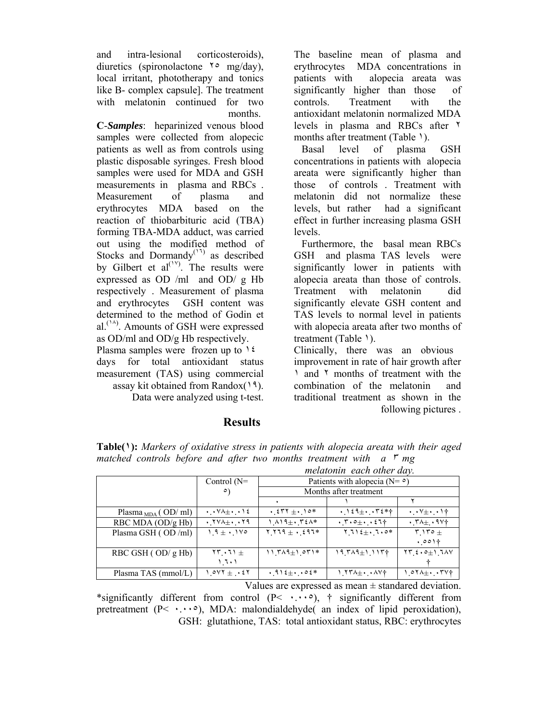and intra-lesional corticosteroids), diuretics (spironolactone  $\gamma \circ$  mg/day), local irritant, phototherapy and tonics like B- complex capsule]. The treatment with melatonin continued for two months.

**C**-*Samples*: heparinized venous blood samples were collected from alopecic patients as well as from controls using plastic disposable syringes. Fresh blood samples were used for MDA and GSH measurements in plasma and RBCs . Measurement of plasma and erythrocytes MDA based on the reaction of thiobarbituric acid (TBA) forming TBA-MDA adduct, was carried out using the modified method of Stocks and Dormandy<sup> $(17)$ </sup> as described by Gilbert et  $al^{(1)}$ . The results were expressed as OD /ml and OD/ g Hb respectively . Measurement of plasma and erythrocytes GSH content was determined to the method of Godin et al.<sup> $(1A)$ </sup>. Amounts of GSH were expressed as OD/ml and OD/g Hb respectively.

Plasma samples were frozen up to  $12$ days for total antioxidant status measurement (TAS) using commercial assay kit obtained from Randox $(19)$ .

Data were analyzed using t-test.

## **Results**

The baseline mean of plasma and erythrocytes MDA concentrations in patients with alopecia areata was significantly higher than those of controls. Treatment with the antioxidant melatonin normalized MDA levels in plasma and RBCs after ٢ months after treatment (Table 1).

Basal level of plasma GSH concentrations in patients with alopecia areata were significantly higher than those of controls . Treatment with melatonin did not normalize these levels, but rather had a significant effect in further increasing plasma GSH levels.

Furthermore, the basal mean RBCs GSH and plasma TAS levels were significantly lower in patients with alopecia areata than those of controls. Treatment with melatonin did significantly elevate GSH content and TAS levels to normal level in patients with alopecia areata after two months of treatment (Table 1).

Clinically, there was an obvious improvement in rate of hair growth after ١ and ٢ months of treatment with the combination of the melatonin and traditional treatment as shown in the following pictures .

|                                                                                       | melatonin each other day.              |                                                                                    |                                                                     |
|---------------------------------------------------------------------------------------|----------------------------------------|------------------------------------------------------------------------------------|---------------------------------------------------------------------|
| Control $(N=$                                                                         | Patients with alopecia ( $N = \circ$ ) |                                                                                    |                                                                     |
| $\circ$                                                                               | Months after treatment                 |                                                                                    |                                                                     |
|                                                                                       |                                        |                                                                                    |                                                                     |
| $\cdot$ $\cdot$ $\vee$ $\wedge$ $\pm$ $\cdot$ $\cdot$ $\wedge$ $\epsilon$             | $\cdot$ { $55 + 10*$                   | $\cdot$ ) $\epsilon$ $\uparrow$ $\pm$ $\cdot$ , $\uparrow$ $\epsilon$ * $\uparrow$ | $\cdot \cdot \vee \pm \cdot \cdot \cdot \dagger$                    |
| $\cdot$ , $\uparrow$ $\vee$ $\wedge$ $\pm$ $\cdot$ , $\uparrow$ $\uparrow$ $\uparrow$ | $1.419 \pm 0.724*$                     | $\cdot$ , $\circ$ $\pm$ $\cdot$ $\cdot$ $\circ$ $\uparrow$ $\uparrow$              | $\cdot$ , $\uparrow \wedge \pm$ $\cdot$ $\uparrow \vee \uparrow$    |
| $19 \pm 11$                                                                           | $Y_1 Y 19 + 291*$                      | $Y 11\&0.0*$                                                                       | $\mathsf{r}$ $\mathsf{r}$ $\mathsf{r}$ $\mathsf{r}$ $\mathsf{r}$    |
|                                                                                       |                                        |                                                                                    | $. 001+$                                                            |
| $\mathbf{Y} \mathbf{Y} \cdot \mathbf{U}$                                              | $11.744 \pm 1.071*$                    | $19.749 \pm 1.1177$                                                                | $\forall \Upsilon$ ( $\circ$ + $\circ$ + $\uparrow$ $\wedge$ $\vee$ |
| ۱ ٦٠١                                                                                 |                                        |                                                                                    |                                                                     |
| $1.017 \pm .257$                                                                      | $.912 \pm .02*$                        | $1.77\lambda_{\pm}$ . $\lambda V_{\pm}$                                            | $1.07$ $+$ $\cdot$ $.7$ $\vee$ $\dagger$                            |
|                                                                                       |                                        |                                                                                    |                                                                     |

**Table(١):** *Markers of oxidative stress in patients with alopecia areata with their aged matched controls before and after two months treatment with a* ٣ *mg* 

Values are expressed as mean  $\pm$  standared deviation. \*significantly different from control  $(P< \cdots)$ , † significantly different from pretreatment  $(P \leq \cdot \cdot \cdot \cdot)$ , MDA: malondialdehyde( an index of lipid peroxidation), GSH: glutathione, TAS: total antioxidant status, RBC: erythrocytes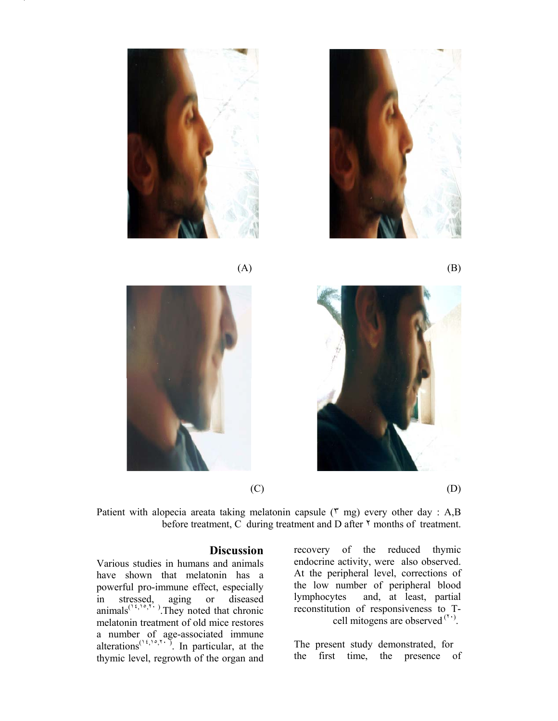









Patient with alopecia areata taking melatonin capsule ( $\mathbf{r}$  mg) every other day : A,B before treatment, C during treatment and D after  $\gamma$  months of treatment.

## **Discussion**

Various studies in humans and animals have shown that melatonin has a powerful pro-immune effect, especially in stressed, aging or diseased  $\text{animals}^{(\frac{1}{2},\frac{1}{2},\frac{1}{2},\frac{1}{2})}$ . They noted that chronic melatonin treatment of old mice restores a number of age-associated immune alterations<sup> $(1, 1, 1, 1)$ </sup>. In particular, at the thymic level, regrowth of the organ and

recovery of the reduced thymic endocrine activity, were also observed. At the peripheral level, corrections of the low number of peripheral blood lymphocytes and, at least, partial reconstitution of responsiveness to T cell mitogens are observed  $(1)$ .

The present study demonstrated, for the first time, the presence of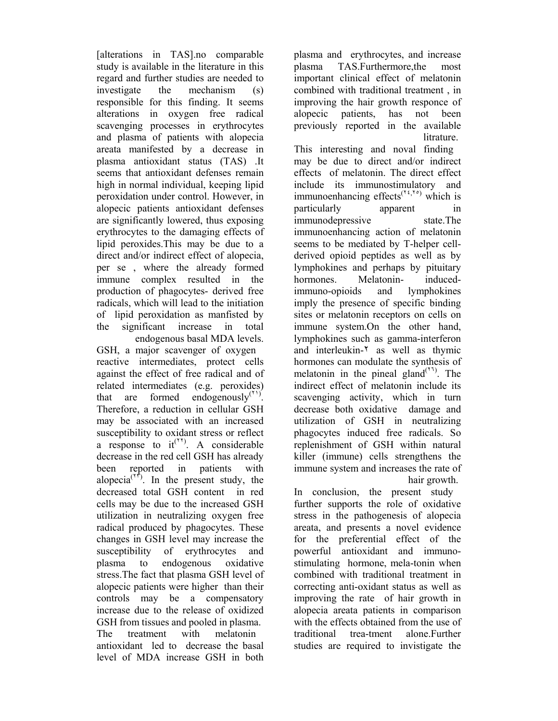[alterations in TAS].no comparable study is available in the literature in this regard and further studies are needed to investigate the mechanism (s) responsible for this finding. It seems alterations in oxygen free radical scavenging processes in erythrocytes and plasma of patients with alopecia areata manifested by a decrease in plasma antioxidant status (TAS) .It seems that antioxidant defenses remain high in normal individual, keeping lipid peroxidation under control. However, in alopecic patients antioxidant defenses are significantly lowered, thus exposing erythrocytes to the damaging effects of lipid peroxides.This may be due to a direct and/or indirect effect of alopecia, per se , where the already formed immune complex resulted in the production of phagocytes- derived free radicals, which will lead to the initiation of lipid peroxidation as manfisted by the significant increase in total endogenous basal MDA levels.

GSH, a major scavenger of oxygen reactive intermediates, protect cells against the effect of free radical and of related intermediates (e.g. peroxides) that are formed endogenously $(1)$ . Therefore, a reduction in cellular GSH may be associated with an increased susceptibility to oxidant stress or reflect a response to  $it^{(\tau\tau)}$ . A considerable decrease in the red cell GSH has already been reported in patients with alopecia<sup> $(1)$ </sup>. In the present study, the decreased total GSH content in red cells may be due to the increased GSH utilization in neutralizing oxygen free radical produced by phagocytes. These changes in GSH level may increase the susceptibility of erythrocytes and plasma to endogenous oxidative stress.The fact that plasma GSH level of alopecic patients were higher than their controls may be a compensatory increase due to the release of oxidized GSH from tissues and pooled in plasma.

The treatment with melatonin antioxidant led to decrease the basal level of MDA increase GSH in both plasma and erythrocytes, and increase plasma TAS.Furthermore,the most important clinical effect of melatonin combined with traditional treatment , in improving the hair growth responce of alopecic patients, has not been previously reported in the available **litrature** 

This interesting and noval finding may be due to direct and/or indirect effects of melatonin. The direct effect include its immunostimulatory and immunoenhancing effects<sup> $(1,1,1)$ </sup> which is particularly apparent in immunodepressive state.The immunoenhancing action of melatonin seems to be mediated by T-helper cellderived opioid peptides as well as by lymphokines and perhaps by pituitary hormones. Melatonin- inducedimmuno-opioids and lymphokines imply the presence of specific binding sites or melatonin receptors on cells on immune system.On the other hand, lymphokines such as gamma-interferon and interleukin-٢ as well as thymic hormones can modulate the synthesis of melatonin in the pineal gland<sup> $(1)$ </sup>. The indirect effect of melatonin include its scavenging activity, which in turn decrease both oxidative damage and utilization of GSH in neutralizing phagocytes induced free radicals. So replenishment of GSH within natural killer (immune) cells strengthens the immune system and increases the rate of hair growth.

In conclusion, the present study further supports the role of oxidative stress in the pathogenesis of alopecia areata, and presents a novel evidence for the preferential effect of the powerful antioxidant and immunostimulating hormone, mela-tonin when combined with traditional treatment in correcting anti-oxidant status as well as improving the rate of hair growth in alopecia areata patients in comparison with the effects obtained from the use of traditional trea-tment alone.Further studies are required to invistigate the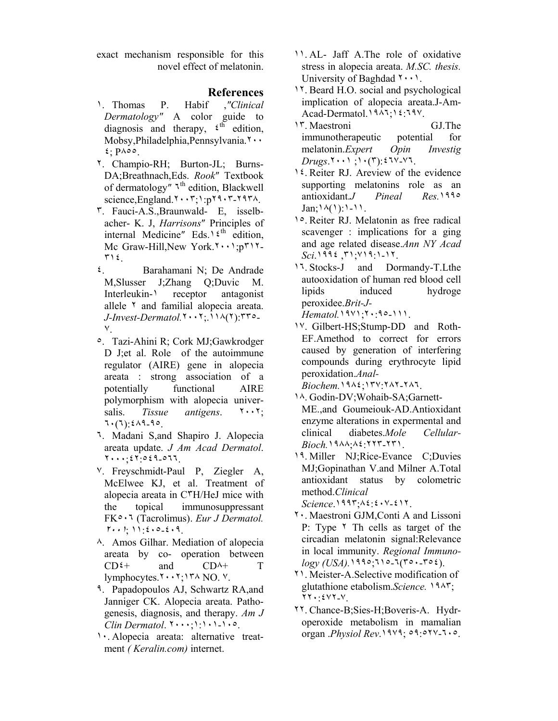exact mechanism responsible for this novel effect of melatonin.

## **References**

- ١. Thomas P. Habif ,*″Clinical Dermatology″* A color guide to diagnosis and therapy,  $\epsilon^{th}$  edition, Mobsy,Philadelphia,Pennsylvania.٢٠٠ ٤; P٨٥٥.
- ٢. Champio-RH; Burton-JL; Burns-DA;Breathnach,Eds. *Rook*″ Textbook of dermatology<sup>"</sup> <sup>τ<sup>th</sup> edition, Blackwell</sup> science,England.٢٠٠٣;١:p٢٩٠٣-٢٩٣٨.
- ٣. Fauci-A.S.,Braunwald- E, isselbacher- K. J, *Harrisons*″ Principles of internal Medicine" Eds.<sup>1  $\xi$ th</sup> edition, Mc Graw-Hill,New York.٢٠٠١;p٣١٢- ٣١٤.
- ٤. Barahamani N; De Andrade M,Slusser J;Zhang Q;Duvic M. Interleukin-<sup>1</sup> receptor antagonist allele ٢ and familial alopecia areata. *J-Invest-Dermatol.*٢٠٠٢;.١١٨(٢):٣٣٥-  $V_{\perp}$
- ٥. Tazi-Ahini R; Cork MJ;Gawkrodger D J;et al. Role of the autoimmune regulator (AIRE) gene in alopecia areata : strong association of a potentially functional AIRE polymorphism with alopecia universalis. *Tissue antigens*. ٢٠٠٢; ٦٠(٦):٤٨٩-٩٥.
- ٦. Madani S,and Shapiro J. Alopecia areata update. *J Am Acad Dermatol*. ٢٠٠٠;٤٢:٥٤٩-٥٦٦.
- ٧. Freyschmidt-Paul P, Ziegler A, McElwee KJ, et al. Treatment of alopecia areata in C٣H/HeJ mice with the topical immunosuppressant FK٥٠٦ (Tacrolimus). *Eur J Dermatol.*  <sup>٢٠٠١</sup>; ١١:٤٠٥-٤٠٩.
- ٨. Amos Gilhar. Mediation of alopecia areata by co- operation between  $CD<sup>2+</sup>$  and  $CD<sup>A+</sup>$  T lymphocytes.٢٠٠٢;١٣٨ NO. ٧.
- ٩. Papadopoulos AJ, Schwartz RA,and Janniger CK. Alopecia areata. Pathogenesis, diagnosis, and therapy. *Am J Clin Dermatol*. ٢٠٠٠;١:١٠١-١٠٥.
- ١٠. Alopecia areata: alternative treatment *( Keralin.com)* internet.
- ١١. AL- Jaff A.The role of oxidative stress in alopecia areata. *M.SC. thesis.* University of Baghdad  $\{\cdot\}$ .
- ١٢. Beard H.O. social and psychological implication of alopecia areata.J-Am-Acad-Dermatol.١٩٨٦;١٤:٦٩٧.
- ١٣. Maestroni GJ.The immunotherapeutic potential for melatonin.*Expert Opin Investig Drugs*.٢٠٠١ ;١٠(٣):٤٦٧-٧٦.
- ١٤. Reiter RJ. Areview of the evidence supporting melatonins role as an antioxidant.*J Pineal Res.*١٩٩٥  $Jan$ ;  $\lambda(1)$ :  $1 - 11$ .
- ١٥. Reiter RJ. Melatonin as free radical scavenger : implications for a ging and age related disease.*Ann NY Acad Sci*.١٩٩٤ ,٣١;٧١٩:١-١٢.
- ١٦. Stocks-J and Dormandy-T.Lthe autooxidation of human red blood cell lipids induced hydroge peroxidee.*Brit-J-Hematol.*١٩٧١;٢٠:٩٥-١١١.
- ١٧. Gilbert-HS;Stump-DD and Roth-EF.Amethod to correct for errors caused by generation of interfering compounds during erythrocyte lipid peroxidation.*Anal-*

*Biochem.*١٩٨٤;١٣٧:٢٨٢-٢٨٦.

- ١٨. Godin-DV;Wohaib-SA;Garnett-ME.,and Goumeiouk-AD.Antioxidant enzyme alterations in expermental and clinical diabetes.*Mole Cellular-Bioch.*١٩٨٨;٨٤:٢٢٣-٢٣١.
- ١٩. Miller NJ;Rice-Evance C;Duvies MJ;Gopinathan V.and Milner A.Total antioxidant status by colometric method.*Clinical Science*.١٩٩٣;٨٤:٤٠٧-٤١٢.
- ٢٠. Maestroni GJM,Conti A and Lissoni P: Type <sup> $\uparrow$ </sup> Th cells as target of the circadian melatonin signal:Relevance in local immunity. *Regional Immunology (USA).*١٩٩٥;٦١٥-٦(٣٥٠-٣٥٤).
- ٢١. Meister-A.Selective modification of glutathione etabolism.*Science.* ١٩٨٣; ٢٢٠:٤٧٢-٧.
- ٢٢. Chance-B;Sies-H;Boveris-A. Hydroperoxide metabolism in mamalian organ .*Physiol Rev*.١٩٧٩; ٥٩:٥٢٧-٦٠٥.